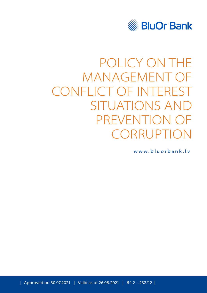

# POLICY ON THE MANAGEMENT OF CONFLICT OF INTEREST SITUATIONS AND PREVENTION OF CORRUPTION

**[www.bluorbank.lv](https://www.bluorbank.lv/en/index)**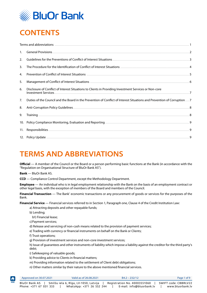

# <span id="page-1-0"></span>**CONTENTS**

| 1.  |                                                                                                                         |  |
|-----|-------------------------------------------------------------------------------------------------------------------------|--|
| 2.  |                                                                                                                         |  |
| 3.  |                                                                                                                         |  |
| 4.  |                                                                                                                         |  |
| 5.  |                                                                                                                         |  |
| 6.  | Disclosure of Conflict of Interest Situations to Clients in Providing Investment Services or Non-core                   |  |
| 7.  | Duties of the Council and the Board in the Prevention of Conflict of Interest Situations and Prevention of Corruption 7 |  |
| 8.  |                                                                                                                         |  |
| 9.  |                                                                                                                         |  |
|     |                                                                                                                         |  |
| 11. |                                                                                                                         |  |
|     |                                                                                                                         |  |

# **TERMS AND ABBREVIATIONS**

**Official** — A member of the Council or the Board or a person performing basic functions at the Bank (in accordance with the "Regulation on Organisational Structure of BluOr Bank AS").

**Bank** — BluOr Bank AS.

**CCD** — Compliance Control Department, except the Methodology Department.

**Employee** — An individual who is in legal employment relationship with the Bank on the basis of an employment contract or other legal basis, with the exception of members of the Board and members of the Council.

**Financial Transaction** — The Bank' economic transactions or any procurement of goods or services for the purposes of the Bank.

**Financial Service** — Financial services referred to in Section 1, Paragraph one, Clause 4 of the Credit Institution Law:

a) Attracting deposits and other repayable funds;

b) Lending;

b1) Financial lease;

- c)Payment services;
- d) Release and servicing of non-cash means related to the provision of payment services;
- e) Trading with currency or financial instruments on behalf on the Bank or Clients;
- f) Trust operations;

A

g) Provision of investment services and non-core investment services;

h) Issue of guarantees and other instruments of liability which impose a liability against the creditor for the third party's debt;

- i) Safekeeping of valuable goods;
- k) Providing advice to Clients in financial matters;
- m) Providing information related to the settlement of Client debt obligations;
- n) Other matters similar by their nature to the above mentioned financial services.

|             | Approved on 30.07.2021                  | Valid as of 26,08,2021    | $B4.2 - 232/12$                                                                                             | Page 1 of 9                              |
|-------------|-----------------------------------------|---------------------------|-------------------------------------------------------------------------------------------------------------|------------------------------------------|
| <b>HOME</b> | BluOr Bank AS<br>Phone: +371 67 031 333 | WhatsApp: +371 26 552 244 | Smilšu iela 6, Rīga, LV-1050, Latvija $\parallel$ Registration No. 40003551060<br>E-mail: info@bluorbank.lv | SWIFT code: CBBRLV22<br>www.bluorbank.lv |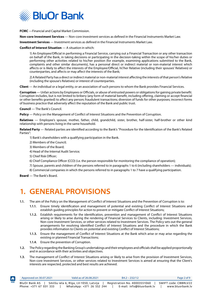<span id="page-2-0"></span>

**FCMC** —Financial and Capital Market Commission.

**Non-core Investment Services** — Non-core investment services as defined in the Financial Instruments Market Law.

**Investment Services** — Investment services as defined in the Financial Instruments Market Law.

**Conflict of Interest Situation** — A situation in which:

1) An Employee/Official in performing a Financial Service, carrying out a Financial Transaction or any other transaction on behalf of the Bank, in taking decisions or participating in the decision-taking within the scope of his/her duties or performing other activities related to his/her position (for example, examining applications submitted to the Bank, complaints and other similar documents), has a personal direct or indirect material or non-material interest which affects or is likely to affect the interests of the Employee/Official, hi'/her Relative (including their spouses' Relatives) or counterparties, and affects or may affect the interests of the Bank;

2) A Related Party has a direct or indirect material or non-material interest affecting the interests of that person's Relative (including the spouse's Relatives) or interest of counterparties.

**Client** — An individual or a legal entity, or an association of such persons to whom the Bank provides Financial Services.

**Corruption** — Unfair actions by Employees or Officials, or abuse of entrusted powers or obligations for gaining private benefit. Corruption includes, but is not limited to bribery (any form of material benefit, including offering, claiming or accept financial or other benefits granted) to affect any person; fraudulent transactions; diversion of funds for other purposes; incorrect forms of business practice that adversely affect the reputation of the Bank and public trust.

**Council** — The Bank's Council.

**Policy** — Policy on the Management of Conflict of Interest Situations and the Prevention of Corruption.

**Relatives** — Employee's spouse, mother, father, child, grandchild, sister, brother, half-sister, half-brother or other kind relationship with persons living in the same household.

**Related Party** — Related parties are identified according to the Bank's "Procedure for the Identification of the Bank's Related Parties":

1) Bank's shareholders with a qualifying participation in the Bank.

- 2) Members of the Council;
- 3) Members of the Board;
- 4) Head of the Internal Audit Service;
- 5) Chief Risk Officer;
- 6) Chief Compliance Officer (CCO) (i.e. the person responsible for monitoring the compliance of operation);

7) Spouse, parents and children of the persons referred to in paragraphs 1 to 6 (including shareholders — individuals);

8) Commercial companies in which the persons referred to in paragraphs 1 to 7 have a qualifying participation.

**Board** — The Bank's Board.

#### **1. GENERAL PROVISIONS**

- **1.1.** The aim of the Policy on the Management of Conflict of Interest Situations and the Prevention of Corruption is to:
	- **1.1.1.** Ensure timely identification and management of potential and existing Conflict of Interest Situations and establish guiding principles for action to prevent or mitigate Conflict of Interest Situations;
	- **1.1.2.** Establish requirements for the identification, prevention and management of Conflict of Interest Situations arising or likely to arise during the rendering of Financial Services to Clients, including: Investment Services, Non-core Investment Services, or other services related to Investment Services. The Policy sets out the general arrangements for resolving identified Conflict of Interest Situations and the procedure in which the Bank provides information to Clients on potential and existing Conflict of Interest Situations;
	- **1.1.3.** Ensure the management of Conflict of Interest Situations at the Bank which arise or may arise regarding the existing or planned Financial Transactions;
	- **1.1.4.** Ensure the prevention of Corruption.
- **1.2.** The Policy regarding the Banking Group's undertakings and their employees and officials shall be applied proportionally and in accordance with their activities and objectives.
- **1.3.** The management of Conflict of Interest Situations arising or likely to arise from the provision of Investment Services, Non-core Investment Services, or other services related to Investment Services is aimed at ensuring that the Client's interests are respected, protected and best results are achieved.

|      | Approved on 30.07.2021                         | Valid as of 26,08,2021                                             | $B4.2 - 232/12$                                           | Page 2 of 9                              |
|------|------------------------------------------------|--------------------------------------------------------------------|-----------------------------------------------------------|------------------------------------------|
| HOME | <b>BluOr Bank AS</b><br>Phone: +371 67 031 333 | Smilšu iela 6, Rīga, LV-1050, Latvija<br>WhatsApp: +371 26 552 244 | Registration No. 40003551060<br>E-mail: info@bluorbank.lv | SWIFT code: CBBRLV22<br>www.bluorbank.lv |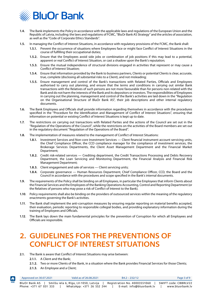<span id="page-3-0"></span>

- **1.4.** The Bank implements the Policy in accordance with the applicable laws and regulations of the European Union and the Republic of Latvia, including: the laws and regulations of FCMC, "BluOr Bank AS Strategy" and the articles of association, as well as the "Code of Corporate Ethics Standards".
- **1.5.** In managing the Conflict of Interest Situations, in accordance with regulatory provisions of the FCMC, the Bank shall:
	- **1.5.1.** Prevent the occurrence of situations where Employees face or might face Conflict of Interest Situations in the course of fulfilling their occupational duties;
	- **1.5.2.** Ensure that the Employees avoid side jobs or combination of job positions if this may lead to a potential, apparent or real Conflict of Interest Situation, or cast a shadow upon the Bank's reputation;
	- **1.5.3.** Ensure the mutual independence of structural divisions engaged in activities that represent or may cause a Conflict of Interest Situation;
	- **1.5.4.** Ensure that information provided by the Bank to business partners, Clients or potential Clients is clear, accurate, true, complete (disclosing all substantial risks to a Client), and not misleading;
	- **1.5.5.** Ensure management and control of the Bank's transactions with Related Parties, Officials and Employees authorised to carry out planning, and ensure that the terms and conditions in carrying out similar Bank transactions with the Relatives of such persons are not more favourable than for persons non-related with the Bank and do not harm the interests of the Bank and its depositors or investors. The responsibilities of Employees in carrying out the planning, management and control of the Bank's activities are laid down in the "Regulation on the Organisational Structure of BluOr Bank AS", their job descriptions and other internal regulatory documents.
- **1.6.** The Bank Employees and Officials shall provide information regarding themselves in accordance with the procedures specified in the "Procedure for the Identification and Management of Conflict of Interest Situations", ensuring that information on potential or existing Conflict of Interest Situations is kept up to date.
- **1.7.** The restrictions on carrying out transactions with Related Parties and the actions of the Council are set out in the "Regulation of the Operations of the Council", while the restrictions on the activities of the Board members are set out in the regulatory document "Regulation of the Operations of the Board".
- **1.8.** The implementation of measures related to the management of Conflict of Interest Situations:
	- **1.8.1.** Investment Services and Non-core Investment Services Client financial instrument account servicing units, the Chief Compliance Officer, the CCD compliance manager for the compliance of investment services, the Brokerage Services Departments, the Client Asset Management Department and the Financial Market Department;
	- **1.8.2.** Credit risk-related services Crediting department, the Credit Transactions Processing and Debts Recovery Department, the Loan Servicing and Monitoring Department, the Financial Analysis and Financial Risk Management Department;
	- **1.8.3.** Client engagement and sale of services Client servicing units;
	- **1.8.4.** Corporate governance Human Resources Department, Chief Compliance Officer, CCD, the Board and the Council in accordance with the procedures and scope specified in the Bank's internal documents.
- **1.9.** The requirements of the Policy shall be binding on all Employees, in particular the Employees that inform Clients about the Financial Services and the Employees of the Banking Operations Accounting, Control and Reporting Department (or the Relatives of persons who may pose a risk of Conflict of Interest to the Bank).
- **1.10**. Policy requirements shall also be binding on the providers of outsourced services within the meaning of the regulatory enactments governing the Bank's activities.
- **1.11**. The Bank shall implement the anti-corruption measures by ensuring regular reporting on material benefits accepted, their evaluation, periodic reporting to responsible collegial bodies, and providing explanatory information during the training of Employees and Officials.
- **1.12**. The Bank lays down the main fundamental principles for the prevention of Corruption for which all Employees and Officials are responsible.

## **2. GUIDELINES FOR THE PREVENTIONS OF CONFLICT OF INTEREST SITUATIONS**

- **2.1.** The Bank is aware that Conflict of Interest Situations may arise between:
	- **2.1.1.** A Client and the Bank;

 $\biguparrow$ 

- **2.1.2.** Two or more Clients of the Bank, in a situation where the Bank provides Financial Services for those Clients;
- **2.1.3.** An Employee and a Client;

|             | Approved on 30.07.2021 | Valid as of 26,08,2021                | $B4.2 - 232/12$              | Page 3 of 9          |
|-------------|------------------------|---------------------------------------|------------------------------|----------------------|
| <b>HOME</b> | BluOr Bank AS          | Smilšu iela 6, Rīga, LV-1050, Latvija | Registration No. 40003551060 | SWIFT code: CBBRLV22 |
|             | Phone: +371 67 031 333 | WhatsApp: +371 26 552 244             | E-mail: info@bluorbank.lv    | www.bluorbank.lv     |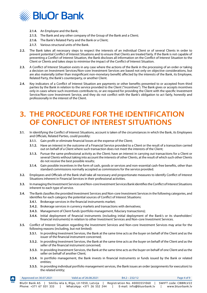<span id="page-4-0"></span>

- **2.1.4.** An Employee and the Bank;
- **2.1.5.** The Bank and any other company of the Group of the Bank and a Client;
- **2.1.6.** The Bank's Related Party and the Bank or a Client;
- **2.1.7.** Various structural units of the Bank.
- **2.2.** The Bank takes all necessary steps to respect the interests of an individual Client or of several Clients in order to prevent potential Conflict of Interest Situations and to ensure that Clients are treated fairly. If the Bank is not capable of preventing a Conflict of Interest Situation, the Bank discloses all information on the Conflict of Interest Situation to the Client or Clients and takes steps to minimise the impact of the Conflict of Interest Situation.
- **2.3.** A Conflict of Interest Situation exists in any case where the actions of the Bank in the processing of an order or taking a decision on Investment Services/Non-core Investment Services are based not only on objective considerations, but are also materially (other than insignificant non-monetary benefit) affected by the interests of the Bank, its Employee, Related Party, the Bank's counterparty, or another Client.
- **2.4.** Key indicators of a Conflict of Interest Situation are payments or other benefits presented to or accepted from third parties by the Bank in relation to the service provided to the Client ("incentives"). The Bank gives or accepts incentives only in cases where such incentives contribute to, or are required for providing the Client with the specific Investment Service/Non-core Investment Service, and they do not conflict with the Bank's obligation to act fairly, honestly and professionally in the interest of the Client.

## **3. THE PROCEDURE FOR THE IDENTIFICATION OF CONFLICT OF INTEREST SITUATIONS**

- **3.1.** In identifying the Conflict of Interest Situations, account is taken of the circumstances in which the Bank, its Employees and Officials, Related Parties, could possibly:
	- **3.1.1.** Gain profit or eliminate financial losses at the expense of the Client;
	- **3.1.2.** Have an interest in the outcome of a Financial Service provided to a Client or the result of a transaction carried out on behalf of a Client where such transaction does not meet the interests of the Client;
	- **3.1.3.** Pursue the same professional activity as the Client; have an interest in carrying out transactions for a Client or several Clients without taking into account the interests of other Clients, at the result of which such other Clients do not receive the best possible results;
	- **3.1.4.** Gain possible incentives in the form of cash, goods or services and non-essential cash-free benefits, other than standard commissions normally accepted as commissions for the service provided.
- **3.2.** Employees and Officials of the Bank shall take all necessary and proportionate measures to identify Conflict of Interest Situations inherent in Financial Services in their professional activities.
- **3.3.** In managing the Investment Services and Non-core Investment Services Bank identifies the Conflict of Interest Situations inherent to each type of service.
- **3.4.** The Bank classifies the provided Investment Services and Non-core Investment Services in the following categories, and identifies for each category the potential sources of Conflict of Interest Situations:
	- **3.4.1.** Brokerage services in the financial instruments market;

A

- **3.4.2.** Brokerage services in currency markets and transactions with derivatives;
- **3.4.3.** Management of Client funds (portfolio management, fiduciary transactions);
- **3.4.4.** Initial deployment of financial instruments (including initial deployment of the Bank's or its shareholders' financial instruments) in relation to other Investment Services and Non-core Investment Services.
- **3.5.** Conflict of Interest Situation regarding the Investment Services and Non-core Investment Services may arise for the following reasons (including, but not limited):
	- **3.5.1.** In providing Investment Services, the Bank at the same time acts as the buyer on behalf of the Client and as the issuer of the financial instrument concerned;
	- **3.5.2.** In providing Investment Services, the Bank at the same time acts as the buyer on behalf of the Client and as the seller of the financial instrument concerned;
	- **3.5.3.** In providing Investment Services, the Bank at the same time acts as the buyer on behalf of one Client and as the seller on behalf of another Client;
	- **3.5.4.** In portfolio management, the Bank invests in financial instruments or funds issued by the Bank or related entities;
	- **3.5.5.** In providing individual portfolio management services, the Bank issues an order (assignments for execution) to the related entity;

| Approved on $30.07.2021$ | Valid as of 26,08,2021                | $B4.2 - 232/12$              | Page 4 of 9          |
|--------------------------|---------------------------------------|------------------------------|----------------------|
| BluOr Bank AS            | Smilšu iela 6, Rīga, LV-1050, Latvija | Registration No. 40003551060 | SWIFT code: CBBRLV22 |
| Phone: +371 67 031 333   | WhatsApp: +371 26 552 244             | E-mail: info@bluorbank.lv    | www.bluorbank.lv     |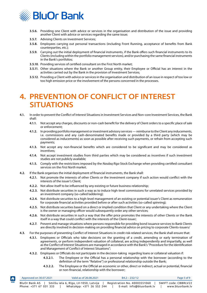<span id="page-5-0"></span>

- **3.5.6.** Providing one Client with advice or services in the organisation and distribution of the issue and providing another Client with advice or services regarding the same issue;
- **3.5.7.** Advising Clients on Investment Services;
- **3.5.8.** Employees carrying out personal transactions (including Front Running, acceptance of benefits from Bank counterparties, etc.);
- **3.5.9.** Carrying out the initial deployment of financial instruments, if the Bank offers such financial instruments to its Clients (including within the portfolio management services), and/or purchasing the same financial instruments in the Bank's portfolios;
- **3.5.10**. Providing services of certified consultant on the First North market;
- **3.5.11**. Other situations where the Bank or another Group entity, their Employee or Official has an interest in the activities carried out by the Bank in the provision of Investment Services;
- **3.5.12**. Providing a Client with advice or services in the organisation and distribution of an issue in respect of too low or too high emission price or the involvement of the persons concerned in the processes.

#### **4. PREVENTION OF CONFLICT OF INTEREST SITUATIONS**

- **4.1.** In order to prevent the Conflict of Interest Situations in Investment Services and Non-core Investment Services, the Bank shall:
	- **4.1.1.** Not accept any charges, discounts or non-cash benefit for the delivery of Client orders to a specific place of sale or enforcement;
	- **4.1.2.** In providing portfolio management or investment advisory services reimburse to the Client any inducements, i.e. commissions and any cash-denominated benefits made or provided by a third party (which may be considered as inducements) as soon as possible after receiving such payments, or refrain from accepting such payments;
	- **4.1.3.** Not accept any non-financial benefits which are considered to be significant and may be considered as incentives;
	- **4.1.4.** Not accept investment studies from third parties which may be considered as incentives if such investment studies are not publicly available;
	- **4.1.5.** Comply with the restrictions imposed by the *Nasdaq Riga* Stock Exchange when providing certified consultant services on the *First North* market.
- **4.2.** If the Bank organises the initial deployment of financial instruments, the Bank shall:
	- **4.2.1.** Not promote the interests of other Clients or the investment company if such action would conflict with the interests of the issuer's Client;
	- **4.2.2.** Not allow itself to be influenced by any existing or future business relationship;
	- **4.2.3.** Not distribute securities in such a way as to induce high-level commissions for unrelated services provided by an investment company (so-called laddering);
	- **4.2.4.** Not distribute securities to a high-level management of an existing or potential issuer's Client as remuneration for corporate financial activities provided before or after such activities (so-called spinning);
	- **4.2.5.** Not distribute securities based on a direct or implied condition that Client or any undertaking where the Client is the owner or managing officer would subsequently order any other services;
	- **4.2.6.** Not distribute securities in such a way that the offer price promotes the interests of other Clients or the Bank itself in a way that could conflict with the interests of the Client-issuer;
	- **4.2.7.** Prevent and manage situations where persons responsible for providing bond issuance services to Bank Clients are directly involved in decision-making on providing financial advice on pricing to corporate Clients-issuers/
- **4.3.** For the purposes of preventing Conflict of Interest Situations in credit risk-related services, the Bank shall ensure that:
	- **4.3.1.** Employees or Officials who take decisions on the granting of a credit, amending or early termination of agreements, or perform independent valuation of collateral, are acting independently and impartially, as well as the Conflict of Interest Situations are managed in accordance with the Bank's "Procedure for the Identification and Management of Conflict of Interest Situations";
	- **4.3.2.** Employees or Officials do not participate in the decision-taking regarding loans or collateral valuation if:
		- **4.3.2.1.** The Employee or the Official has a personal relationship with the borrower (according to the definition of the term "Relative") or professional relationship outside the Bank;
		- **4.3.2.2.** The Employee or the Official an economic or other, direct or indirect, actual or potential, financial or non-financial, relationship with the borrower;

| Approved on 30.07.2021 | Valid as of 26,08,2021                | $B4.2 - 232/12$              | Page 5 of 9          |
|------------------------|---------------------------------------|------------------------------|----------------------|
| BluOr Bank AS I        | Smilšu iela 6, Rīga, LV-1050, Latvija | Registration No. 40003551060 | SWIFT code: CBBRLV22 |
| Phone: +371 67 031 333 | WhatsApp: +371 26 552 244             | E-mail: info@bluorbank.lv    | www.bluorbank.lv     |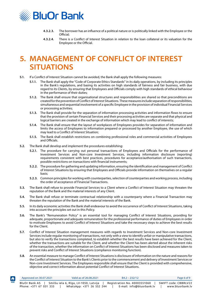<span id="page-6-0"></span>

- **4.3.2.3.** The borrower has an influence of a political nature or is politically linked with the Employee or the Official;
- **4.3.2.4.** There is a Conflict of Interest Situation in relation to the loan collateral or its valuation for the Employee or the Official.

### **5. MANAGEMENT OF CONFLICT OF INTEREST SITUATIONS**

- **5.1.** If a Conflict of Interest Situation cannot be avoided, the Bank shall apply the following measures:
	- **5.1.1.** The Bank shall apply the "Code of Corporate Ethics Standards" in its daily operations, by including its principles in the Bank's regulations, and basing its activities on high standards of fairness and fair business, with due regard to its Clients, by ensuring that Employees and Officials comply with high standards of ethical behaviour in the performance of their duties;
	- **5.1.2.** The Bank shall ensure that organisational structures and responsibilities are shared so that preconditions are created for the prevention of Conflict of Interest Situations. These measures include separation of responsibilities, simultaneous and sequential involvement of a specific Employee in the provision of individual Financial Services or processing activities;
	- **5.1.3.** The Bank shall provide for the separation of information processing activities and information flows to ensure that the provision of certain Financial Services and their processing activities are separate and that physical and logical barriers are created in the exchange of information which may lead to conflict of interests;
	- **5.1.4.** The Bank shall ensure that the layout of workplaces of Employees provides for separation of information and limits the access of Employees to information prepared or processed by another Employee, the use of which may lead to a Conflict of Interest Situation;
	- **5.1.5.** The Bank shall establish restrictions on combining professional roles and commercial activities of Employees and Officials.
- **5.2.** The Bank shall develop and implement the procedures establishing:

 $\biguparrow$ 

- **5.2.1.** The procedure for carrying out personal transactions of Employees and Officials for the performance of Investment Services and Non-core Investment Services, including information disclosure (reporting) requirements consistent with best practices, procedures for acceptance/authorisation of such transactions, possible restrictions on transactions with financial instruments;
- **5.2.2.** The procedure for gathering and updating information, ensuring the identification and management of Conflict of Interest Situations by ensuring that Employees and Officials provide information on themselves on a regular basis;
- **5.2.3.** Common principles for working with counterparties, selection of counterparties and working process, including the order of acceptance of Financial Transactions.
- **5.3.** The Bank shall refuse to provide Financial Services to a Client where a Conflict of Interest Situation may threaten the reputation of the Bank and the material interests of any Client.
- **5.4.** The Bank shall refuse or terminate contractual relationship with a counterparty where a Financial Transaction may threaten the reputation of the Bank and the material interests of the Bank.
- **5.5.** In its daily economic activities the Bank shall endeavour to avoid the occurrence of Conflict of Interest Situations, taking into account the principles set out in this Policy.
- **5.6.** The Bank's "Remuneration Policy" is an essential tool for managing Conflict of Interest Situations, providing for adequate, proportionate and adequate remuneration for the professional performance of duties of Employees in order to motivate Employees to avoid Conflict of Interest Situations and take the necessary steps to achieve the best results for the Client.
- **5.7.** Conflict of Interest Situation management measures with regards to Investment Services and Non-core Investment Services include regular monitoring of transactions, not only with a view to identify unfair or manipulative transactions, but also to verify the transactions completed, to establish whether the best results have been achieved for the Client, whether the transactions are suitable for the Client, and whether the Client has been alerted about the inherent risks of the transaction, whether the information on Conflict of Interest Situations has been disclosed and measures taken to prevent risks and Conflict of Interest Situations (compliance monitoring function).
- **5.8.** An essential measure to manage Conflict of Interest Situations is disclosure of information on the nature and reasons for the Conflict of Interest Situation to the Bank's Clients prior to the commencement and delivery of Investment Services or Non-core Investment Services. The Employees responsible shall ensure that the Client is provided with comprehensive, objective and correct information about potential Conflict of Interest Situations.

|             | Approved on 30.07.2021 | Valid as of 26,08,2021                | $B4.2 - 232/12$              | Page 6 of 9          |
|-------------|------------------------|---------------------------------------|------------------------------|----------------------|
| <b>HOME</b> | BluOr Bank AS          | Smilšu iela 6, Rīga, LV-1050, Latvija | Registration No. 40003551060 | SWIFT code: CBBRLV22 |
|             | Phone: +371 67 031 333 | WhatsApp: +371 26 552 244             | E-mail: info@bluorbank.lv    | www.bluorbank.lv     |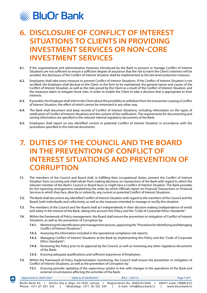<span id="page-7-0"></span>

### **6. DISCLOSURE OF CONFLICT OF INTEREST SITUATIONS TO CLIENTS IN PROVIDING INVESTMENT SERVICES OR NON-CORE INVESTMENT SERVICES**

- **6.1.** If the organisational and administrative measures introduced by the Bank to prevent or manage Conflict of Interest Situations are not sufficient to ensure a sufficient degree of assurance that the risk to harm the Client's interests will be avoided, the disclosure of the Conflict of Interest Situation shall be implemented as the last-level protection measure.
- **6.2.** Employees shall take every measure to prevent Conflict of Interest Situations. If the Conflict of Interest Situation is not rectified, the Employee shall disclose to the Client, in the form to be maintained, the general nature and causes of the Conflict of Interest Situation, as well as the risks posed by the Client as a result of the Conflict of Interest Situation, and the measures taken to mitigate those risks, in order to enable the Client to take a decision that is appropriate to their interests.
- **6.3.** If possible, the Employee shall inform the Client about the possibility to withdraw from the transaction causing a Conflict of Interest Situation, the effect of which cannot be minimized in any other way.
- **6.4.** The Bank shall document and keep records of Conflict of Interest Situations, including information on the types of notification of Conflict of Interest Situations and the content of the notification. The requirements for documenting and storing information are specified in the relevant internal regulatory documents of the Bank.
- **6.5.** Employees shall report on any identified current or potential Conflict of Interest Situation in accordance with the procedures specified in the internal documents.

#### **7. DUTIES OF THE COUNCIL AND THE BOARD IN THE PREVENTION OF CONFLICT OF INTEREST SITUATIONS AND PREVENTION OF CORRUPTION**

- **7.1.** The members of the Council and Board shall, in fulfilling their occupational duties, prevent the Conflict of Interest Situation from occurring and shall refrain from making decisions on transactions of the Bank with regard to which the relevant member of the Bank's Council or Board faces or might face a Conflict of Interest Situation. The Bank provides for the reporting arrangements establishing the order by which Officials report on Financial Transactions or Financial Services in which they face, directly or indirectly, any current or potential Conflict of Interest Situations.
- **7.2.** The Bank shall document any identified Conflict of Interest Situation with regard to the members of the Council and the Board, both individually and collectively, as well as the measures intended to manage or rectify this situation.
- **7.3.** The members of the Council and the Board shall act independently in their decision-making (independence of mind) and solely in the interest of the Bank, taking into account this Policy and the "Code of Corporate Ethics Standards".
- **7.4.** Within the framework of Policy management, the Board shall ensure the prevention or mitigation of Conflict of Interest Situations, as well as the prevention of Corruption by:
	- **7.4.1.** Monitoring the identification and management process, approving the "Procedure for Identifying and Managing Conflict of Interest Situations";
	- **7.4.2.** Assessing the information included in the operational compliance risk reports;
	- **7.4.3.** Managing Conflict of Interest Situations at the Bank by implementing this Policy and the "Code of Corporate Ethics Standards";
	- **7.4.4.** Reviewing the Policy prior to its approval by the Council, as well as reviewing any other regulatory documents of the Bank;
	- **7.4.5.** Ensuring adequate qualifications and sufficient experience of Employees.
- **7.5.** Within the framework of Policy implementation monitoring, the Council shall ensure the prevention or mitigation of Conflict of Interest Situations, as well as the prevention of Corruption by:
	- **7.5.1.** Ensuring periodic updating of the supervisory system in line with changes in the operations of the Bank and external circumstances affecting the activities of the Bank;

| $\vert \bm{f} \vert$ | Approved on 30.07.2021 | Valid as of 26.08.2021                | $B4.2 - 232/12$              | Page 7 of 9          |
|----------------------|------------------------|---------------------------------------|------------------------------|----------------------|
| <b>HOME</b>          | BluOr Bank AS          | Smilšu iela 6, Rīga, LV-1050, Latvija | Registration No. 40003551060 | SWIFT code: CBBRLV22 |
|                      | Phone: +371 67 031 333 | WhatsApp: +371 26 552 244             | E-mail: info@bluorbank.lv    | www.bluorbank.lv     |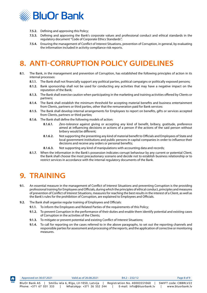<span id="page-8-0"></span>

- **7.5.2.** Defining and approving this Policy;
- **7.5.3.** Defining and approving the Bank's corporate values and professional conduct and ethical standards in the regulatory document "Code of Corporate Ethics Standards";
- **7.5.4.** Ensuring the management of Conflict of Interest Situations, prevention of Corruption, in general, by evaluating the information included in activity compliance risk reports.

# **8. ANTI-CORRUPTION POLICY GUIDELINES**

- **8.1.** The Bank, in the management and prevention of Corruption, has established the following principles of action in its internal processes:
	- **8.1.1.** The Bank shall not financially support any political parties, political campaigns or politically exposed persons;
	- **8.1.2.** Bank sponsorship shall not be used for conducting any activities that may have a negative impact on the reputation of the Bank;
	- **8.1.3.** The Bank shall exercise caution when participating in the marketing and training activities offered by Clients or partners;
	- **8.1.4.** The Bank shall establish the minimum threshold for accepting material benefits and business entertainment from Clients, partners or third parties, other that the remuneration paid for Bank services:
	- **8.1.5.** The Bank shall develop internal arrangements for Employees to report on benefits, gifts or services accepted from Clients, partners or third parties;
	- **8.1.6.** The Bank shall define the following models of action:
		- **8.1.6.1.** *Zero-tolerance* against giving or accepting any kind of benefit, bribery, gratitude, preference aimed at influencing decisions or actions of a person if the actions of the said person without bribery would be different;
		- **8.1.6.2.** Not supporting the presenting any kind of material benefit to Officials and Employees of State and local government institutions and public persons in capital companies in order to influence their decisions and receive any orders or personal benefits;
		- **8.1.6.3.** Not supporting any kind of manipulations with accounting data and records;
	- **8.1.7.** When the information in the Bank's possession indicates corrupt behaviour by any current or potential Client, the Bank shall choose the most precautionary scenario and decide not to establish business relationship or to restrict services in accordance with the internal regulatory documents of the Bank.

### **9. TRAINING**

- **9.1.** An essential measure in the management of Conflict of Interest Situations and preventing Corruption is the providing professional training for Employees and Officials, during which the principles of ethical conduct, principles and measures of prevention of Conflict of Interest Situations, measures for reaching the best results in the interest of a Client, as well as the Bank's rules for the prohibition of Corruption, are explained to Employees and Officials.
- **9.2.** The Bank shall organise regular training of Employees and Officials:
	- **9.1.1.** To inform the Employees and Related Parties of the requirements of this Policy;
	- **9.1.2.** To prevent Corruption in the performance of their duties and enable them identify potential and existing cases of Corruption in the activities of the Clients;
	- **9.1.3.** To mitigate or prevent potential and existing Conflict of Interest Situations;
	- **9.1.4.** To call for reporting on the cases referred to in the above paragraphs, to set out the reporting channels and responsible parties for assessment and processing of the reports, and the application of corrective or monitoring measures.